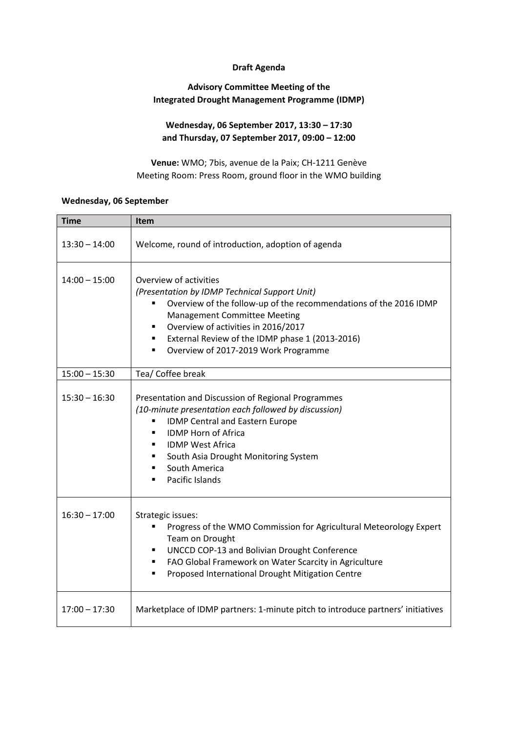### **Draft Agenda**

## **Advisory Committee Meeting of the Integrated Drought Management Programme (IDMP)**

# **Wednesday, 06 September 2017, 13:30 – 17:30 and Thursday, 07 September 2017, 09:00 – 12:00**

**Venue:** WMO; 7bis, avenue de la Paix; CH-1211 Genève Meeting Room: Press Room, ground floor in the WMO building

### **Wednesday, 06 September**

| <b>Time</b>     | <b>Item</b>                                                                                                                                                                                                                                                                                                                          |
|-----------------|--------------------------------------------------------------------------------------------------------------------------------------------------------------------------------------------------------------------------------------------------------------------------------------------------------------------------------------|
| $13:30 - 14:00$ | Welcome, round of introduction, adoption of agenda                                                                                                                                                                                                                                                                                   |
| $14:00 - 15:00$ | Overview of activities<br>(Presentation by IDMP Technical Support Unit)<br>Overview of the follow-up of the recommendations of the 2016 IDMP<br>٠<br><b>Management Committee Meeting</b><br>Overview of activities in 2016/2017<br>٠<br>External Review of the IDMP phase 1 (2013-2016)<br>Overview of 2017-2019 Work Programme<br>٠ |
| $15:00 - 15:30$ | Tea/ Coffee break                                                                                                                                                                                                                                                                                                                    |
| $15:30 - 16:30$ | Presentation and Discussion of Regional Programmes<br>(10-minute presentation each followed by discussion)<br><b>IDMP Central and Eastern Europe</b><br>٠<br><b>IDMP Horn of Africa</b><br>٠<br><b>IDMP West Africa</b><br>٠<br>South Asia Drought Monitoring System<br>٠<br>South America<br>Pacific Islands                        |
| $16:30 - 17:00$ | Strategic issues:<br>Progress of the WMO Commission for Agricultural Meteorology Expert<br>Team on Drought<br>UNCCD COP-13 and Bolivian Drought Conference<br>٠<br>FAO Global Framework on Water Scarcity in Agriculture<br>٠<br>Proposed International Drought Mitigation Centre<br>٠                                               |
| $17:00 - 17:30$ | Marketplace of IDMP partners: 1-minute pitch to introduce partners' initiatives                                                                                                                                                                                                                                                      |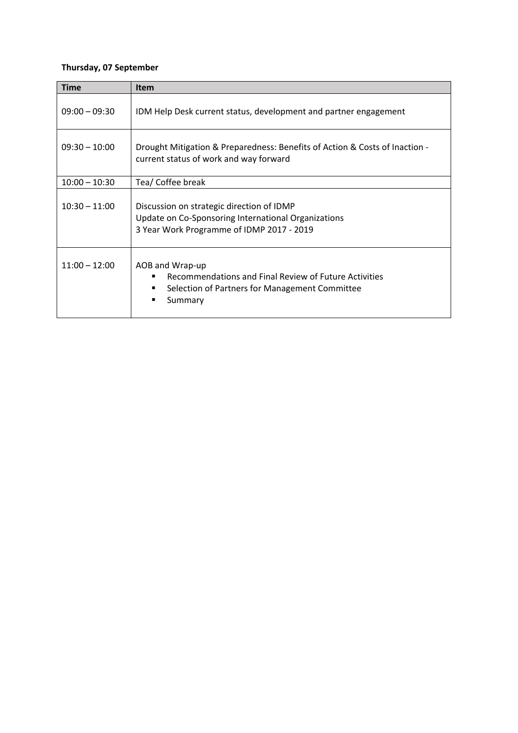# **Thursday, 07 September**

| <b>Time</b>     | <b>Item</b>                                                                                                                                   |
|-----------------|-----------------------------------------------------------------------------------------------------------------------------------------------|
| $09:00 - 09:30$ | IDM Help Desk current status, development and partner engagement                                                                              |
| $09:30 - 10:00$ | Drought Mitigation & Preparedness: Benefits of Action & Costs of Inaction -<br>current status of work and way forward                         |
| $10:00 - 10:30$ | Tea/ Coffee break                                                                                                                             |
| $10:30 - 11:00$ | Discussion on strategic direction of IDMP<br>Update on Co-Sponsoring International Organizations<br>3 Year Work Programme of IDMP 2017 - 2019 |
| $11:00 - 12:00$ | AOB and Wrap-up<br>Recommendations and Final Review of Future Activities<br>Selection of Partners for Management Committee<br>٠<br>Summary    |